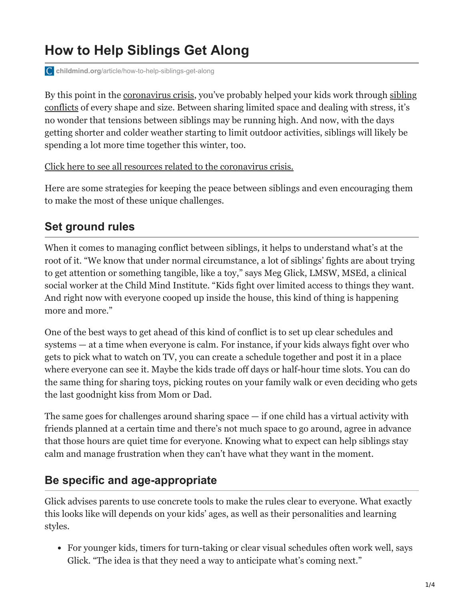# **How to Help Siblings Get Along**

**childmind.org**[/article/how-to-help-siblings-get-along](https://childmind.org/article/how-to-help-siblings-get-along/)

[By this point in the c](https://childmind.org/article/when-siblings-wont-stop-fighting/)[oronavirus crisi](https://childmind.org/coping-during-covid-19-resources-for-parents/)[s, you've probably helped your kids work through sibling](https://childmind.org/article/when-siblings-wont-stop-fighting/) conflicts of every shape and size. Between sharing limited space and dealing with stress, it's no wonder that tensions between siblings may be running high. And now, with the days getting shorter and colder weather starting to limit outdoor activities, siblings will likely be spending a lot more time together this winter, too.

[Click here to see all resources related to the coronavirus crisis.](https://childmind.org/coping-during-covid-19-resources-for-parents/)

Here are some strategies for keeping the peace between siblings and even encouraging them to make the most of these unique challenges.

### **Set ground rules**

When it comes to managing conflict between siblings, it helps to understand what's at the root of it. "We know that under normal circumstance, a lot of siblings' fights are about trying to get attention or something tangible, like a toy," says Meg Glick, LMSW, MSEd, a clinical social worker at the Child Mind Institute. "Kids fight over limited access to things they want. And right now with everyone cooped up inside the house, this kind of thing is happening more and more."

One of the best ways to get ahead of this kind of conflict is to set up clear schedules and systems — at a time when everyone is calm. For instance, if your kids always fight over who gets to pick what to watch on TV, you can create a schedule together and post it in a place where everyone can see it. Maybe the kids trade off days or half-hour time slots. You can do the same thing for sharing toys, picking routes on your family walk or even deciding who gets the last goodnight kiss from Mom or Dad.

The same goes for challenges around sharing space  $-$  if one child has a virtual activity with friends planned at a certain time and there's not much space to go around, agree in advance that those hours are quiet time for everyone. Knowing what to expect can help siblings stay calm and manage frustration when they can't have what they want in the moment.

### **Be specific and age-appropriate**

Glick advises parents to use concrete tools to make the rules clear to everyone. What exactly this looks like will depends on your kids' ages, as well as their personalities and learning styles.

For younger kids, timers for turn-taking or clear visual schedules often work well, says Glick. "The idea is that they need a way to anticipate what's coming next."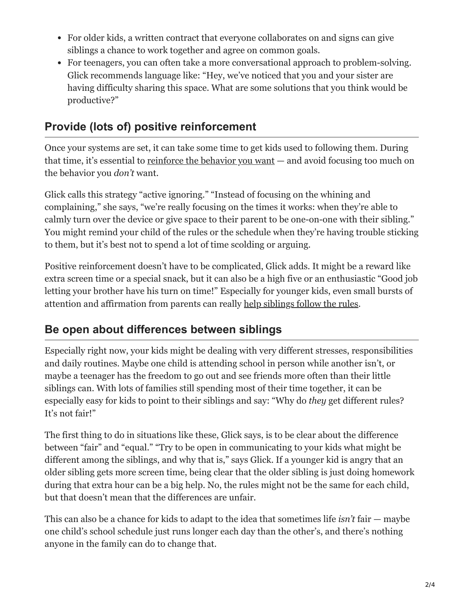- For older kids, a written contract that everyone collaborates on and signs can give siblings a chance to work together and agree on common goals.
- For teenagers, you can often take a more conversational approach to problem-solving. Glick recommends language like: "Hey, we've noticed that you and your sister are having difficulty sharing this space. What are some solutions that you think would be productive?"

## **Provide (lots of) positive reinforcement**

Once your systems are set, it can take some time to get kids used to following them. During that time, it's essential to [reinforce the behavior you want](https://childmind.org/article/the-power-of-positive-attention/) — and avoid focusing too much on the behavior you *don't* want.

Glick calls this strategy "active ignoring." "Instead of focusing on the whining and complaining," she says, "we're really focusing on the times it works: when they're able to calmly turn over the device or give space to their parent to be one-on-one with their sibling." You might remind your child of the rules or the schedule when they're having trouble sticking to them, but it's best not to spend a lot of time scolding or arguing.

Positive reinforcement doesn't have to be complicated, Glick adds. It might be a reward like extra screen time or a special snack, but it can also be a high five or an enthusiastic "Good job letting your brother have his turn on time!" Especially for younger kids, even small bursts of attention and affirmation from parents can really [help siblings follow the rules.](https://childmind.org/article/managing-problem-behavior-at-home/)

### **Be open about differences between siblings**

Especially right now, your kids might be dealing with very different stresses, responsibilities and daily routines. Maybe one child is attending school in person while another isn't, or maybe a teenager has the freedom to go out and see friends more often than their little siblings can. With lots of families still spending most of their time together, it can be especially easy for kids to point to their siblings and say: "Why do *they* get different rules? It's not fair!"

The first thing to do in situations like these, Glick says, is to be clear about the difference between "fair" and "equal." "Try to be open in communicating to your kids what might be different among the siblings, and why that is," says Glick. If a younger kid is angry that an older sibling gets more screen time, being clear that the older sibling is just doing homework during that extra hour can be a big help. No, the rules might not be the same for each child, but that doesn't mean that the differences are unfair.

This can also be a chance for kids to adapt to the idea that sometimes life *isn't* fair — maybe one child's school schedule just runs longer each day than the other's, and there's nothing anyone in the family can do to change that.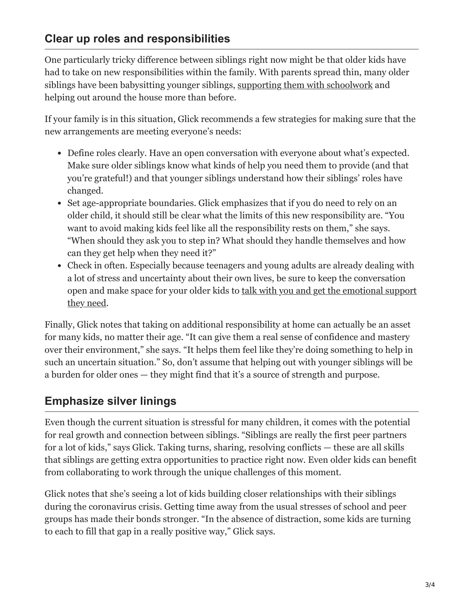### **Clear up roles and responsibilities**

One particularly tricky difference between siblings right now might be that older kids have had to take on new responsibilities within the family. With parents spread thin, many older siblings have been babysitting younger siblings, [supporting them with schoolwork](https://childmind.org/guide/family-resources-for-remote-learning/) and helping out around the house more than before.

If your family is in this situation, Glick recommends a few strategies for making sure that the new arrangements are meeting everyone's needs:

- Define roles clearly. Have an open conversation with everyone about what's expected. Make sure older siblings know what kinds of help you need them to provide (and that you're grateful!) and that younger siblings understand how their siblings' roles have changed.
- Set age-appropriate boundaries. Glick emphasizes that if you do need to rely on an older child, it should still be clear what the limits of this new responsibility are. "You want to avoid making kids feel like all the responsibility rests on them," she says. "When should they ask you to step in? What should they handle themselves and how can they get help when they need it?"
- Check in often. Especially because teenagers and young adults are already dealing with a lot of stress and uncertainty about their own lives, be sure to keep the conversation [open and make space for your older kids to talk with you and get the emotional support](https://childmind.org/article/how-to-ask-what-kids-are-feeling-during-stressful-times/) they need.

Finally, Glick notes that taking on additional responsibility at home can actually be an asset for many kids, no matter their age. "It can give them a real sense of confidence and mastery over their environment," she says. "It helps them feel like they're doing something to help in such an uncertain situation." So, don't assume that helping out with younger siblings will be a burden for older ones — they might find that it's a source of strength and purpose.

### **Emphasize silver linings**

Even though the current situation is stressful for many children, it comes with the potential for real growth and connection between siblings. "Siblings are really the first peer partners for a lot of kids," says Glick. Taking turns, sharing, resolving conflicts — these are all skills that siblings are getting extra opportunities to practice right now. Even older kids can benefit from collaborating to work through the unique challenges of this moment.

Glick notes that she's seeing a lot of kids building closer relationships with their siblings during the coronavirus crisis. Getting time away from the usual stresses of school and peer groups has made their bonds stronger. "In the absence of distraction, some kids are turning to each to fill that gap in a really positive way," Glick says.